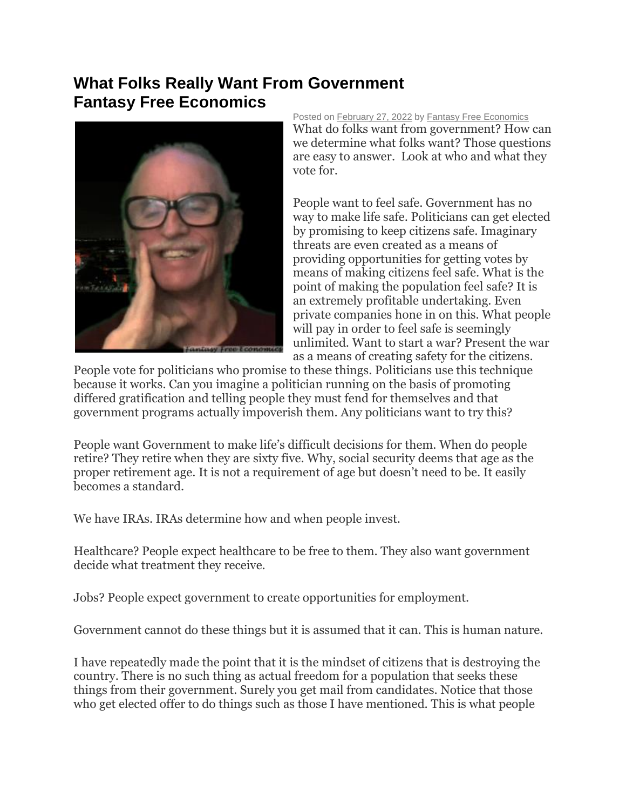## **What Folks Really Want From Government Fantasy Free Economics**



Posted on [February 27, 2022](http://quillian.net/blog/?p=7858) by [Fantasy Free Economics](http://quillian.net/blog/author/james-quillian/) What do folks want from government? How can we determine what folks want? Those questions are easy to answer. Look at who and what they vote for.

People want to feel safe. Government has no way to make life safe. Politicians can get elected by promising to keep citizens safe. Imaginary threats are even created as a means of providing opportunities for getting votes by means of making citizens feel safe. What is the point of making the population feel safe? It is an extremely profitable undertaking. Even private companies hone in on this. What people will pay in order to feel safe is seemingly unlimited. Want to start a war? Present the war as a means of creating safety for the citizens.

People vote for politicians who promise to these things. Politicians use this technique because it works. Can you imagine a politician running on the basis of promoting differed gratification and telling people they must fend for themselves and that government programs actually impoverish them. Any politicians want to try this?

People want Government to make life's difficult decisions for them. When do people retire? They retire when they are sixty five. Why, social security deems that age as the proper retirement age. It is not a requirement of age but doesn't need to be. It easily becomes a standard.

We have IRAs. IRAs determine how and when people invest.

Healthcare? People expect healthcare to be free to them. They also want government decide what treatment they receive.

Jobs? People expect government to create opportunities for employment.

Government cannot do these things but it is assumed that it can. This is human nature.

I have repeatedly made the point that it is the mindset of citizens that is destroying the country. There is no such thing as actual freedom for a population that seeks these things from their government. Surely you get mail from candidates. Notice that those who get elected offer to do things such as those I have mentioned. This is what people